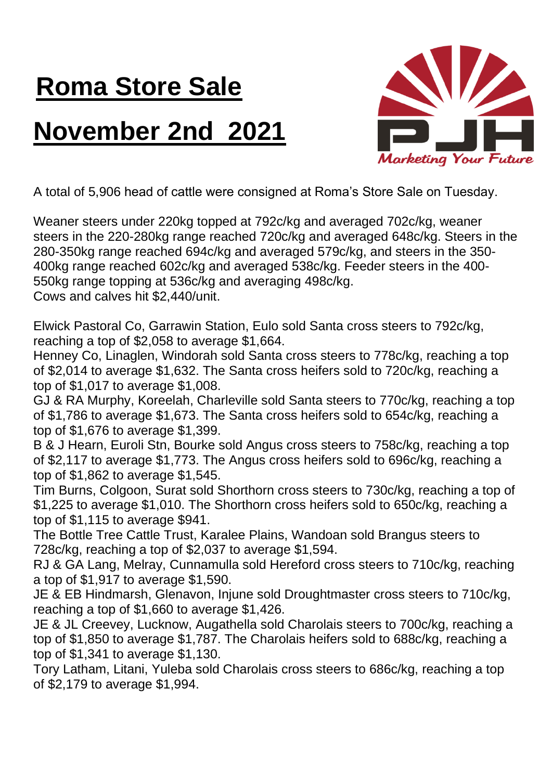## **Roma Store Sale**

## **November 2nd 2021**



A total of 5,906 head of cattle were consigned at Roma's Store Sale on Tuesday.

Weaner steers under 220kg topped at 792c/kg and averaged 702c/kg, weaner steers in the 220-280kg range reached 720c/kg and averaged 648c/kg. Steers in the 280-350kg range reached 694c/kg and averaged 579c/kg, and steers in the 350- 400kg range reached 602c/kg and averaged 538c/kg. Feeder steers in the 400- 550kg range topping at 536c/kg and averaging 498c/kg. Cows and calves hit \$2,440/unit.

Elwick Pastoral Co, Garrawin Station, Eulo sold Santa cross steers to 792c/kg, reaching a top of \$2,058 to average \$1,664.

Henney Co, Linaglen, Windorah sold Santa cross steers to 778c/kg, reaching a top of \$2,014 to average \$1,632. The Santa cross heifers sold to 720c/kg, reaching a top of \$1,017 to average \$1,008.

GJ & RA Murphy, Koreelah, Charleville sold Santa steers to 770c/kg, reaching a top of \$1,786 to average \$1,673. The Santa cross heifers sold to 654c/kg, reaching a top of \$1,676 to average \$1,399.

B & J Hearn, Euroli Stn, Bourke sold Angus cross steers to 758c/kg, reaching a top of \$2,117 to average \$1,773. The Angus cross heifers sold to 696c/kg, reaching a top of \$1,862 to average \$1,545.

Tim Burns, Colgoon, Surat sold Shorthorn cross steers to 730c/kg, reaching a top of \$1,225 to average \$1,010. The Shorthorn cross heifers sold to 650c/kg, reaching a top of \$1,115 to average \$941.

The Bottle Tree Cattle Trust, Karalee Plains, Wandoan sold Brangus steers to 728c/kg, reaching a top of \$2,037 to average \$1,594.

RJ & GA Lang, Melray, Cunnamulla sold Hereford cross steers to 710c/kg, reaching a top of \$1,917 to average \$1,590.

JE & EB Hindmarsh, Glenavon, Injune sold Droughtmaster cross steers to 710c/kg, reaching a top of \$1,660 to average \$1,426.

JE & JL Creevey, Lucknow, Augathella sold Charolais steers to 700c/kg, reaching a top of \$1,850 to average \$1,787. The Charolais heifers sold to 688c/kg, reaching a top of \$1,341 to average \$1,130.

Tory Latham, Litani, Yuleba sold Charolais cross steers to 686c/kg, reaching a top of \$2,179 to average \$1,994.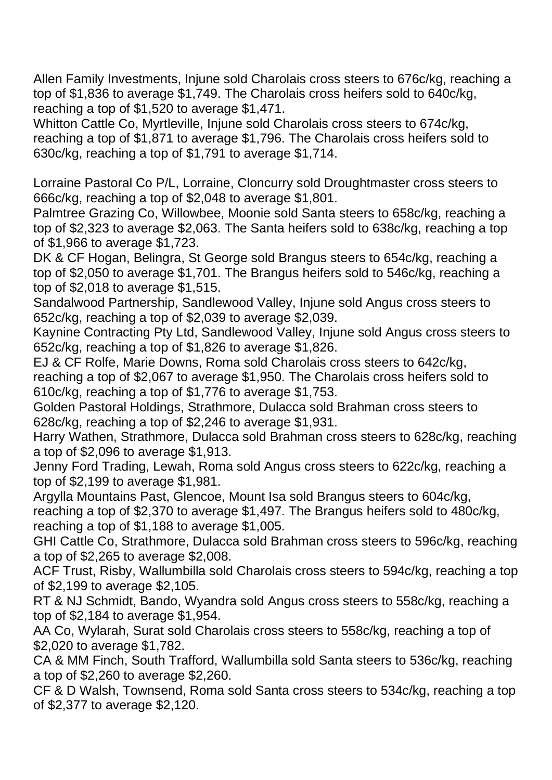Allen Family Investments, Injune sold Charolais cross steers to 676c/kg, reaching a top of \$1,836 to average \$1,749. The Charolais cross heifers sold to 640c/kg, reaching a top of \$1,520 to average \$1,471.

Whitton Cattle Co, Myrtleville, Injune sold Charolais cross steers to 674c/kg, reaching a top of \$1,871 to average \$1,796. The Charolais cross heifers sold to 630c/kg, reaching a top of \$1,791 to average \$1,714.

Lorraine Pastoral Co P/L, Lorraine, Cloncurry sold Droughtmaster cross steers to 666c/kg, reaching a top of \$2,048 to average \$1,801.

Palmtree Grazing Co, Willowbee, Moonie sold Santa steers to 658c/kg, reaching a top of \$2,323 to average \$2,063. The Santa heifers sold to 638c/kg, reaching a top of \$1,966 to average \$1,723.

DK & CF Hogan, Belingra, St George sold Brangus steers to 654c/kg, reaching a top of \$2,050 to average \$1,701. The Brangus heifers sold to 546c/kg, reaching a top of \$2,018 to average \$1,515.

Sandalwood Partnership, Sandlewood Valley, Injune sold Angus cross steers to 652c/kg, reaching a top of \$2,039 to average \$2,039.

Kaynine Contracting Pty Ltd, Sandlewood Valley, Injune sold Angus cross steers to 652c/kg, reaching a top of \$1,826 to average \$1,826.

EJ & CF Rolfe, Marie Downs, Roma sold Charolais cross steers to 642c/kg, reaching a top of \$2,067 to average \$1,950. The Charolais cross heifers sold to 610c/kg, reaching a top of \$1,776 to average \$1,753.

Golden Pastoral Holdings, Strathmore, Dulacca sold Brahman cross steers to 628c/kg, reaching a top of \$2,246 to average \$1,931.

Harry Wathen, Strathmore, Dulacca sold Brahman cross steers to 628c/kg, reaching a top of \$2,096 to average \$1,913.

Jenny Ford Trading, Lewah, Roma sold Angus cross steers to 622c/kg, reaching a top of \$2,199 to average \$1,981.

Argylla Mountains Past, Glencoe, Mount Isa sold Brangus steers to 604c/kg, reaching a top of \$2,370 to average \$1,497. The Brangus heifers sold to 480c/kg, reaching a top of \$1,188 to average \$1,005.

GHI Cattle Co, Strathmore, Dulacca sold Brahman cross steers to 596c/kg, reaching a top of \$2,265 to average \$2,008.

ACF Trust, Risby, Wallumbilla sold Charolais cross steers to 594c/kg, reaching a top of \$2,199 to average \$2,105.

RT & NJ Schmidt, Bando, Wyandra sold Angus cross steers to 558c/kg, reaching a top of \$2,184 to average \$1,954.

AA Co, Wylarah, Surat sold Charolais cross steers to 558c/kg, reaching a top of \$2,020 to average \$1,782.

CA & MM Finch, South Trafford, Wallumbilla sold Santa steers to 536c/kg, reaching a top of \$2,260 to average \$2,260.

CF & D Walsh, Townsend, Roma sold Santa cross steers to 534c/kg, reaching a top of \$2,377 to average \$2,120.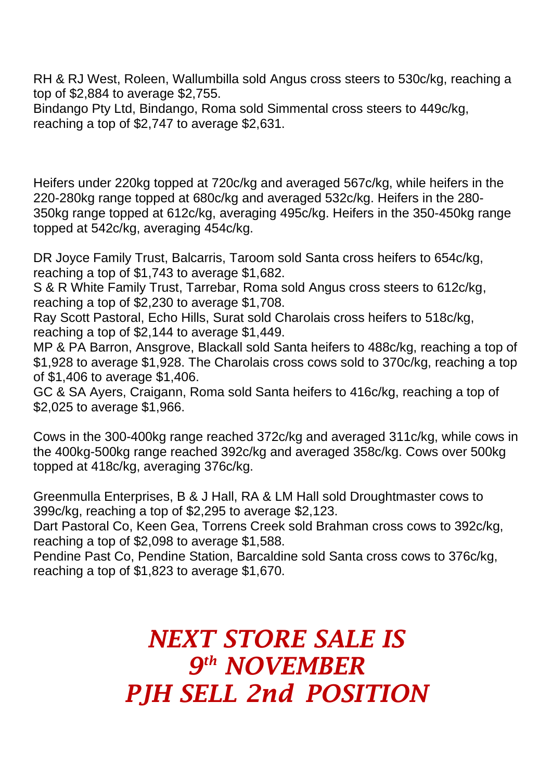RH & RJ West, Roleen, Wallumbilla sold Angus cross steers to 530c/kg, reaching a top of \$2,884 to average \$2,755.

Bindango Pty Ltd, Bindango, Roma sold Simmental cross steers to 449c/kg, reaching a top of \$2,747 to average \$2,631.

Heifers under 220kg topped at 720c/kg and averaged 567c/kg, while heifers in the 220-280kg range topped at 680c/kg and averaged 532c/kg. Heifers in the 280- 350kg range topped at 612c/kg, averaging 495c/kg. Heifers in the 350-450kg range topped at 542c/kg, averaging 454c/kg.

DR Joyce Family Trust, Balcarris, Taroom sold Santa cross heifers to 654c/kg, reaching a top of \$1,743 to average \$1,682.

S & R White Family Trust, Tarrebar, Roma sold Angus cross steers to 612c/kg, reaching a top of \$2,230 to average \$1,708.

Ray Scott Pastoral, Echo Hills, Surat sold Charolais cross heifers to 518c/kg, reaching a top of \$2,144 to average \$1,449.

MP & PA Barron, Ansgrove, Blackall sold Santa heifers to 488c/kg, reaching a top of \$1,928 to average \$1,928. The Charolais cross cows sold to 370c/kg, reaching a top of \$1,406 to average \$1,406.

GC & SA Ayers, Craigann, Roma sold Santa heifers to 416c/kg, reaching a top of \$2,025 to average \$1,966.

Cows in the 300-400kg range reached 372c/kg and averaged 311c/kg, while cows in the 400kg-500kg range reached 392c/kg and averaged 358c/kg. Cows over 500kg topped at 418c/kg, averaging 376c/kg.

Greenmulla Enterprises, B & J Hall, RA & LM Hall sold Droughtmaster cows to 399c/kg, reaching a top of \$2,295 to average \$2,123.

Dart Pastoral Co, Keen Gea, Torrens Creek sold Brahman cross cows to 392c/kg, reaching a top of \$2,098 to average \$1,588.

Pendine Past Co, Pendine Station, Barcaldine sold Santa cross cows to 376c/kg, reaching a top of \$1,823 to average \$1,670.

> *NEXT STORE SALE IS 9 th NOVEMBER PJH SELL 2nd POSITION*